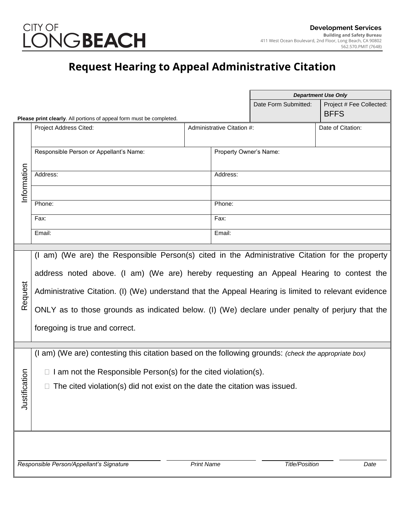

## **Request Hearing to Appeal Administrative Citation**

|                                                                                                 |                                                                                                      |                       |                        | <b>Department Use Only</b> |                          |
|-------------------------------------------------------------------------------------------------|------------------------------------------------------------------------------------------------------|-----------------------|------------------------|----------------------------|--------------------------|
|                                                                                                 |                                                                                                      |                       |                        | Date Form Submitted:       | Project # Fee Collected: |
|                                                                                                 | Please print clearly. All portions of appeal form must be completed.                                 |                       |                        |                            | <b>BFFS</b>              |
| Project Address Cited:<br>Administrative Citation #:                                            |                                                                                                      |                       |                        |                            | Date of Citation:        |
|                                                                                                 |                                                                                                      |                       |                        |                            |                          |
|                                                                                                 | Responsible Person or Appellant's Name:                                                              |                       | Property Owner's Name: |                            |                          |
|                                                                                                 |                                                                                                      |                       |                        |                            |                          |
| Information                                                                                     | Address:                                                                                             |                       | Address:               |                            |                          |
|                                                                                                 |                                                                                                      |                       |                        |                            |                          |
|                                                                                                 |                                                                                                      |                       |                        |                            |                          |
|                                                                                                 | Phone:                                                                                               |                       | Phone:                 |                            |                          |
|                                                                                                 | Fax:                                                                                                 |                       | Fax:                   |                            |                          |
|                                                                                                 | Email:                                                                                               |                       | Email:                 |                            |                          |
|                                                                                                 |                                                                                                      |                       |                        |                            |                          |
| (I am) (We are) the Responsible Person(s) cited in the Administrative Citation for the property |                                                                                                      |                       |                        |                            |                          |
|                                                                                                 |                                                                                                      |                       |                        |                            |                          |
|                                                                                                 | address noted above. (I am) (We are) hereby requesting an Appeal Hearing to contest the              |                       |                        |                            |                          |
|                                                                                                 |                                                                                                      |                       |                        |                            |                          |
| Request                                                                                         | Administrative Citation. (I) (We) understand that the Appeal Hearing is limited to relevant evidence |                       |                        |                            |                          |
|                                                                                                 | ONLY as to those grounds as indicated below. (I) (We) declare under penalty of perjury that the      |                       |                        |                            |                          |
|                                                                                                 |                                                                                                      |                       |                        |                            |                          |
| foregoing is true and correct.                                                                  |                                                                                                      |                       |                        |                            |                          |
|                                                                                                 |                                                                                                      |                       |                        |                            |                          |
|                                                                                                 | (I am) (We are) contesting this citation based on the following grounds: (check the appropriate box) |                       |                        |                            |                          |
|                                                                                                 |                                                                                                      |                       |                        |                            |                          |
| ation                                                                                           | $\Box$ I am not the Responsible Person(s) for the cited violation(s).                                |                       |                        |                            |                          |
|                                                                                                 | $\Box$ The cited violation(s) did not exist on the date the citation was issued.                     |                       |                        |                            |                          |
| Justific                                                                                        |                                                                                                      |                       |                        |                            |                          |
|                                                                                                 |                                                                                                      |                       |                        |                            |                          |
|                                                                                                 |                                                                                                      |                       |                        |                            |                          |
|                                                                                                 |                                                                                                      |                       |                        |                            |                          |
|                                                                                                 |                                                                                                      |                       |                        |                            |                          |
|                                                                                                 |                                                                                                      |                       |                        |                            |                          |
|                                                                                                 | Responsible Person/Appellant's Signature                                                             | <b>Title/Position</b> | Date                   |                            |                          |